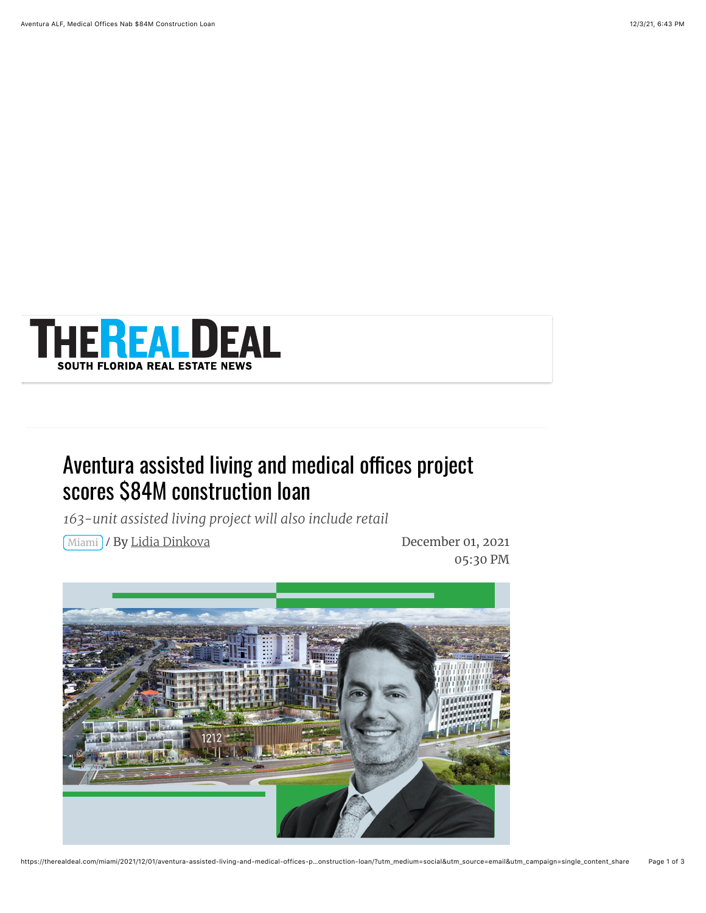

## Aventura assisted living and medical offices project scores \$84M construction loan

*163-unit assisted living project will also include retail*

Miami / December 01, 2021 By [Lidia Dinkova](https://therealdeal.com/miami/author/lidia-dinkova/)

05:30 PM

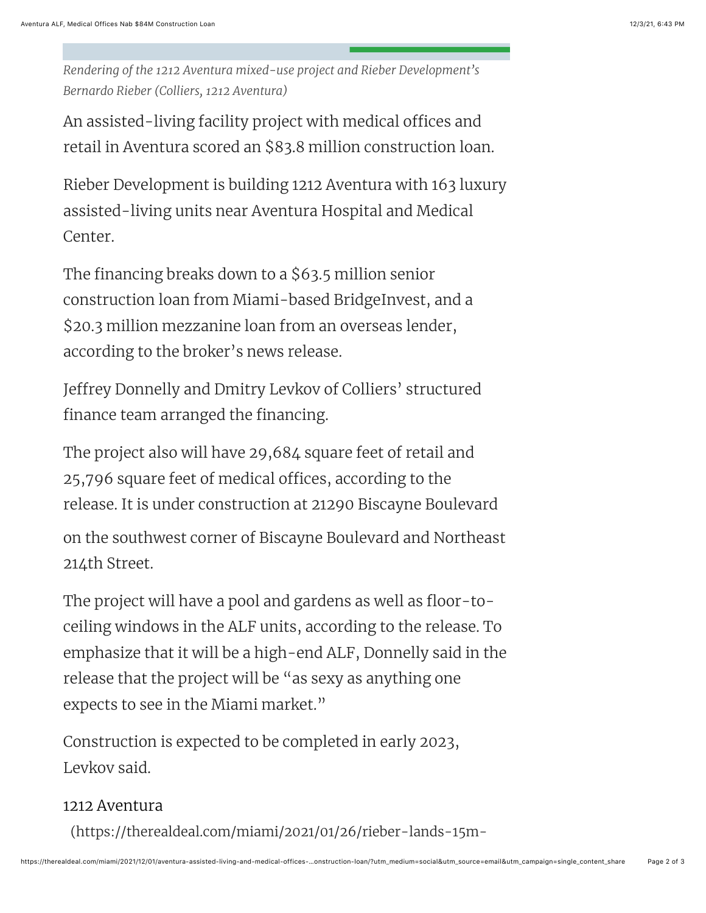*Rendering of the 1212 Aventura mixed-use project and Rieber Development's Bernardo Rieber (Colliers, 1212 Aventura)*

An assisted-living facility project with medical offices and retail in Aventura scored an \$83.8 million construction loan.

Rieber Development is building 1212 Aventura with 163 luxury assisted-living units near Aventura Hospital and Medical Center.

The financing breaks down to a \$63.5 million senior construction loan from Miami-based BridgeInvest, and a \$20.3 million mezzanine loan from an overseas lender, according to the broker's news release.

Jeffrey Donnelly and Dmitry Levkov of Colliers' structured finance team arranged the financing.

The project also will have 29,684 square feet of retail and 25,796 square feet of medical offices, according to the release. It is under construction at 21290 Biscayne Boulevard

on the southwest corner of Biscayne Boulevard and Northeast 214th Street.

The project will have a pool and gardens as well as floor-toceiling windows in the ALF units, according to the release. To emphasize that it will be a high-end ALF, Donnelly said in the release that the project will be "as sexy as anything one expects to see in the Miami market."

Construction is expected to be completed in early 2023, Levkov said.

## 1212 Aventura

[\(https://therealdeal.com/miami/2021/01/26/rieber-lands-15m-](https://therealdeal.com/miami/2021/01/26/rieber-lands-15m-loan-for-aventura-mixed-use-project/)